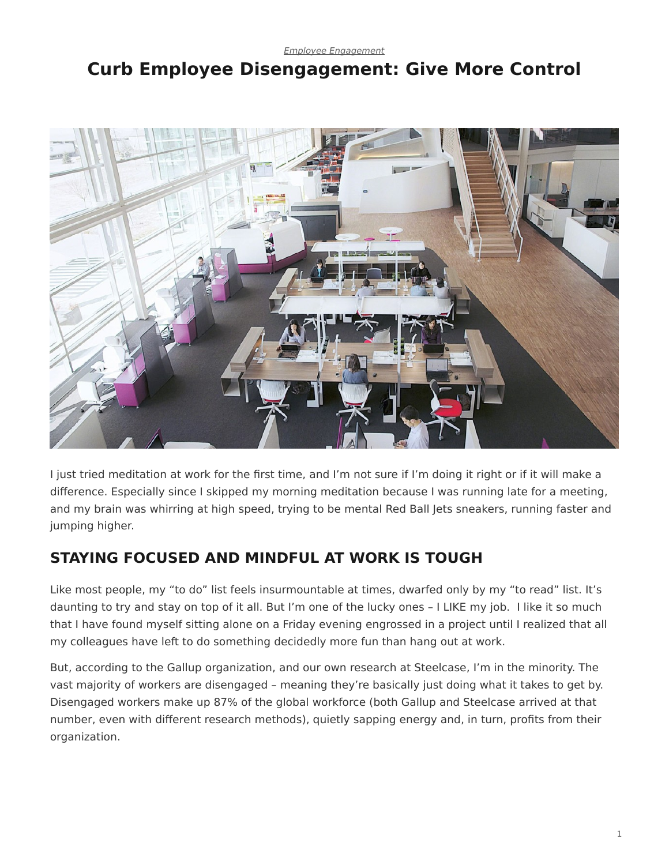*[Employee Engagement](https://www.steelcase.com/research/topics/employee-engagement/)*

# <span id="page-0-0"></span>**Curb Employee Disengagement: Give More Control**



I just tried meditation at work for the first time, and I'm not sure if I'm doing it right or if it will make a difference. Especially since I skipped my morning meditation because I was running late for a meeting, and my brain was whirring at high speed, trying to be mental Red Ball Jets sneakers, running faster and jumping higher.

## **STAYING FOCUSED AND MINDFUL AT WORK IS TOUGH**

Like most people, my "to do" list feels insurmountable at times, dwarfed only by my "to read" list. It's daunting to try and stay on top of it all. But I'm one of the lucky ones – I LIKE my job. I like it so much that I have found myself sitting alone on a Friday evening engrossed in a project until I realized that all my colleagues have left to do something decidedly more fun than hang out at work.

But, according to the Gallup organization, and our own research at Steelcase, I'm in the minority. The vast majority of workers are disengaged – meaning they're basically just doing what it takes to get by. Disengaged workers make up 87% of the global workforce (both Gallup and Steelcase arrived at that number, even with different research methods), quietly sapping energy and, in turn, profits from their organization.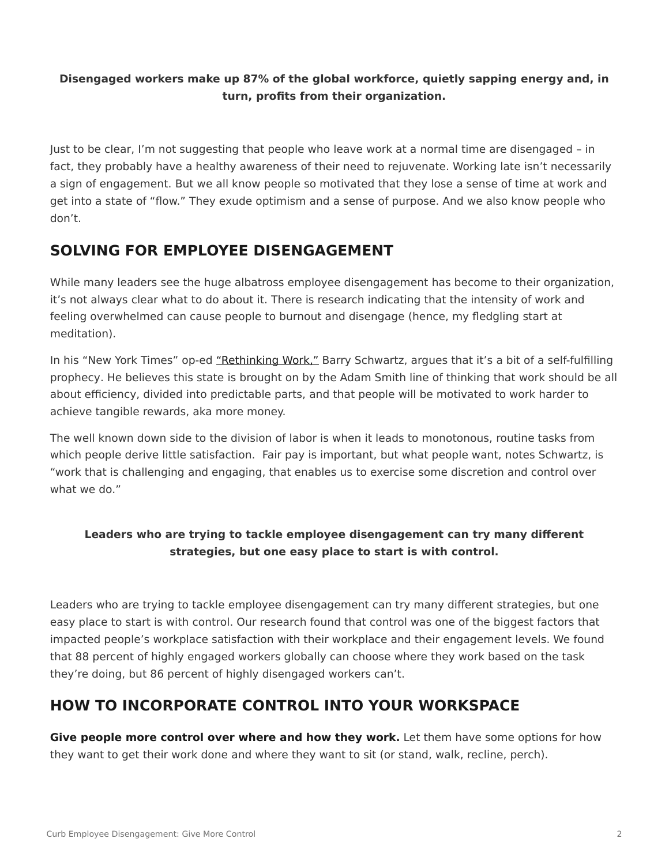#### **Disengaged workers make up 87% of the global workforce, quietly sapping energy and, in turn, profits from their organization.**

Just to be clear, I'm not suggesting that people who leave work at a normal time are disengaged – in fact, they probably have a healthy awareness of their need to rejuvenate. Working late isn't necessarily a sign of engagement. But we all know people so motivated that they lose a sense of time at work and get into a state of "flow." They exude optimism and a sense of purpose. And we also know people who don't.

### **SOLVING FOR EMPLOYEE DISENGAGEMENT**

While many leaders see the huge albatross employee disengagement has become to their organization, it's not always clear what to do about it. There is research indicating that the intensity of work and feeling overwhelmed can cause people to burnout and disengage (hence, my fledgling start at meditation).

In his "New York Times" op-ed ["Rethinking Work,"](http://www.nytimes.com/2015/08/30/opinion/sunday/rethinking-work.html) Barry Schwartz, argues that it's a bit of a self-fulfilling prophecy. He believes this state is brought on by the Adam Smith line of thinking that work should be all about efficiency, divided into predictable parts, and that people will be motivated to work harder to achieve tangible rewards, aka more money.

The well known down side to the division of labor is when it leads to monotonous, routine tasks from which people derive little satisfaction. Fair pay is important, but what people want, notes Schwartz, is "work that is challenging and engaging, that enables us to exercise some discretion and control over what we do."

### **Leaders who are trying to tackle employee disengagement can try many different strategies, but one easy place to start is with control.**

Leaders who are trying to tackle employee disengagement can try many different strategies, but one easy place to start is with control. Our research found that control was one of the biggest factors that impacted people's workplace satisfaction with their workplace and their engagement levels. We found that 88 percent of highly engaged workers globally can choose where they work based on the task they're doing, but 86 percent of highly disengaged workers can't.

### **HOW TO INCORPORATE CONTROL INTO YOUR WORKSPACE**

**Give people more control over where and how they work.** Let them have some options for how they want to get their work done and where they want to sit (or stand, walk, recline, perch).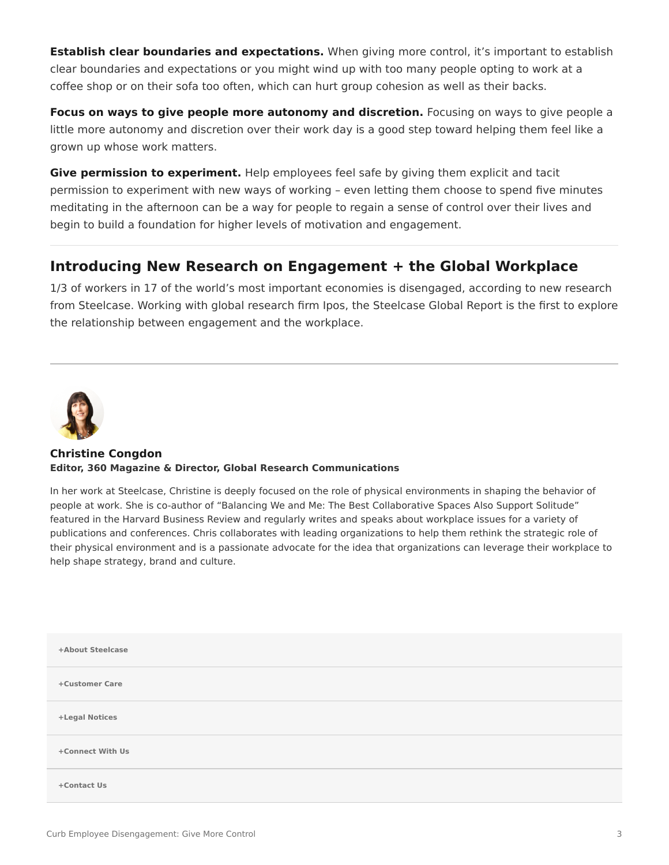**Establish clear boundaries and expectations.** When giving more control, it's important to establish clear boundaries and expectations or you might wind up with too many people opting to work at a coffee shop or on their sofa too often, which can hurt group cohesion as well as their backs.

**Focus on ways to give people more autonomy and discretion.** Focusing on ways to give people a little more autonomy and discretion over their work day is a good step toward helping them feel like a grown up whose work matters.

**Give permission to experiment.** Help employees feel safe by giving them explicit and tacit permission to experiment with new ways of working – even letting them choose to spend five minutes meditating in the afternoon can be a way for people to regain a sense of control over their lives and begin to build a foundation for higher levels of motivation and engagement.

### **Introducing New Research on Engagement + the Global Workplace**

1/3 of workers in 17 of the world's most important economies is disengaged, according to new research from Steelcase. Working with global research firm Ipos, the Steelcase Global Report is the first to explore the relationship between engagement and the workplace.



#### **[Christine Congdon](https://www.steelcase.com/research/articles/author/christine-congdon/) Editor, 360 Magazine & Director, Global Research Communications**

In her work at Steelcase, Christine is deeply focused on the role of physical environments in shaping the behavior of people at work. She is co-author of "Balancing We and Me: The Best Collaborative Spaces Also Support Solitude" featured in the Harvard Business Review and regularly writes and speaks about workplace issues for a variety of publications and conferences. Chris collaborates with leading organizations to help them rethink the strategic role of their physical environment and is a passionate advocate for the idea that organizations can leverage their workplace to help shape strategy, brand and culture.

| +About Steelcase |  |
|------------------|--|
| +Customer Care   |  |
| +Legal Notices   |  |
| +Connect With Us |  |
| +Contact Us      |  |